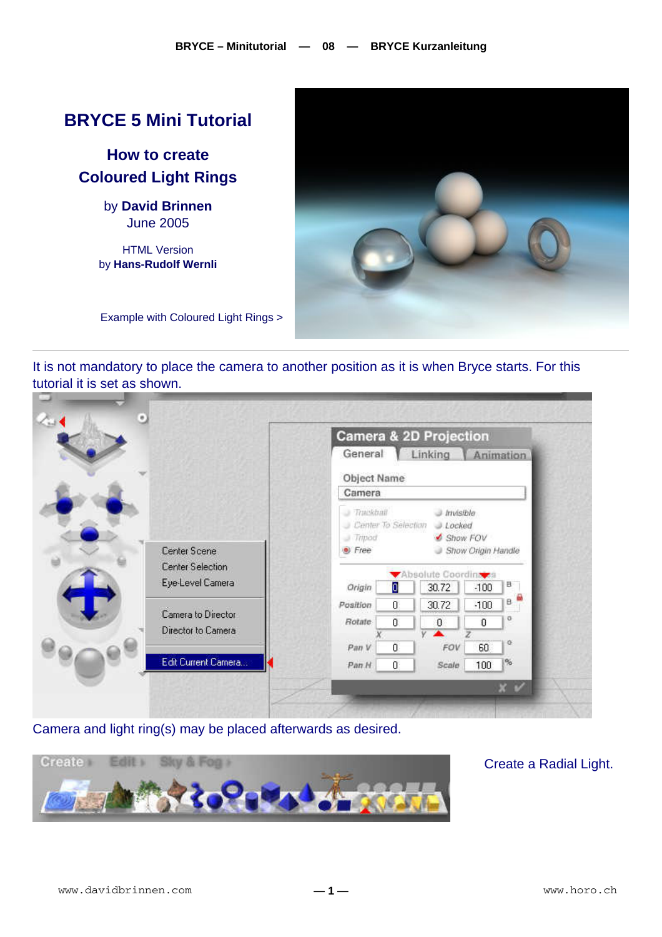## **BRYCE 5 Mini Tutorial**

**How to create Coloured Light Rings** 

> by **David Brinnen** June 2005

HTML Version by **Hans-Rudolf Wernli**



Example with Coloured Light Rings >

It is not mandatory to place the camera to another position as it is when Bryce starts. For this tutorial it is set as shown.

|  |                                          |                                                | Camera & 2D Projection                                |          |                    |           |  |
|--|------------------------------------------|------------------------------------------------|-------------------------------------------------------|----------|--------------------|-----------|--|
|  |                                          | General                                        |                                                       | Linking  |                    | Animation |  |
|  |                                          |                                                | Object Name                                           |          |                    |           |  |
|  |                                          | Camera<br><b>Trackball</b><br><b>Invisible</b> |                                                       |          |                    |           |  |
|  |                                          |                                                |                                                       |          |                    |           |  |
|  |                                          | <b>Tripod</b>                                  | Center To Selection<br>$J.$ <i>Locked</i><br>Show FOV |          |                    |           |  |
|  | Center Scene                             | Free                                           |                                                       |          | Show Origin Handle |           |  |
|  | Center Selection                         |                                                | Absolute Coordina a                                   |          |                    |           |  |
|  | Eye-Level Camera                         | Origin                                         | D                                                     | 30.72    | $-100$             | B         |  |
|  |                                          | Position                                       | $\overline{0}$                                        | 30.72    | $-100$             | B.        |  |
|  | Camera to Director<br>Director to Camera | <b>Rotate</b>                                  | 0                                                     | $\theta$ | Ũ                  | o         |  |
|  |                                          | Pan V                                          | 0                                                     | FOV      | 60                 | e         |  |
|  | Edit Current Camera                      | Pan H                                          | $\overline{0}$                                        | Scale    | 100                | 96        |  |
|  |                                          |                                                |                                                       |          |                    | $x \vee$  |  |

Camera and light ring(s) may be placed afterwards as desired.



## Create a Radial Light.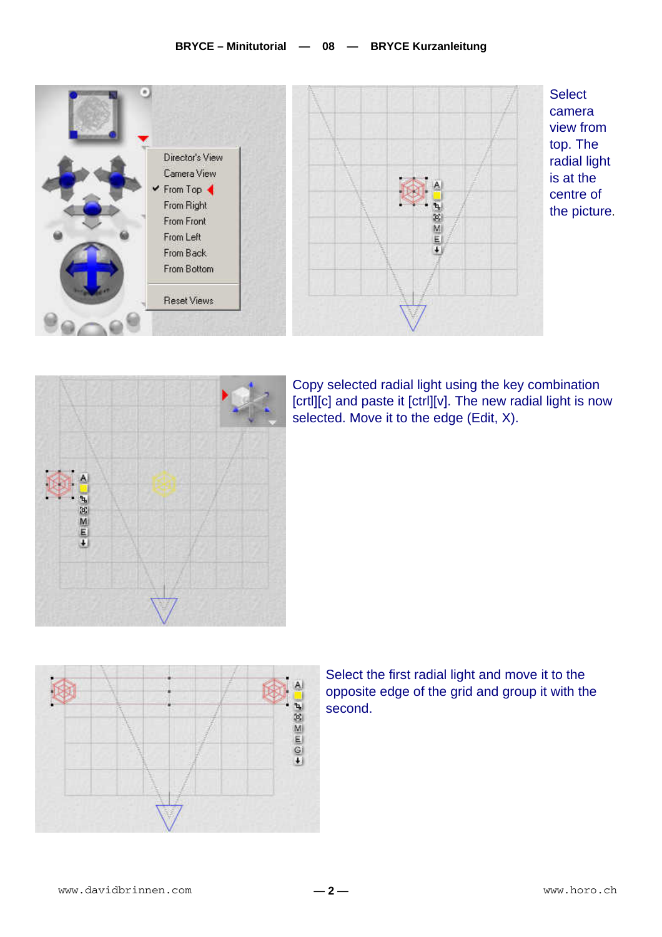## **BRYCE – Minitutorial — 08 — BRYCE Kurzanleitung**





Copy selected radial light using the key combination [crtl][c] and paste it [ctrl][v]. The new radial light is now selected. Move it to the edge (Edit, X).



Select the first radial light and move it to the opposite edge of the grid and group it with the second.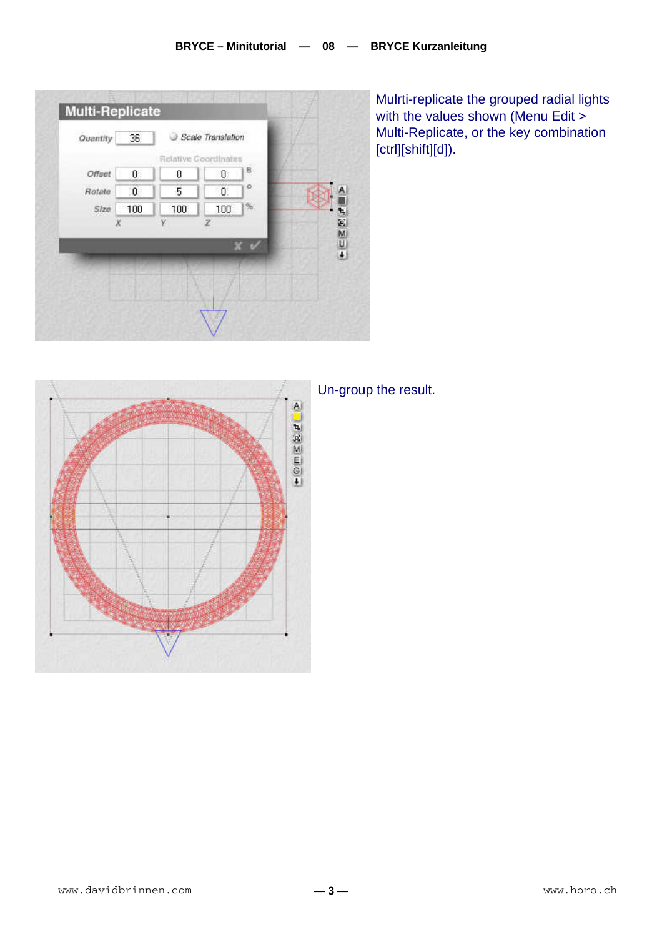

Mulrti-replicate the grouped radial lights with the values shown (Menu Edit > Multi-Replicate, or the key combination [ctrl][shift][d]).



## Un-group the result.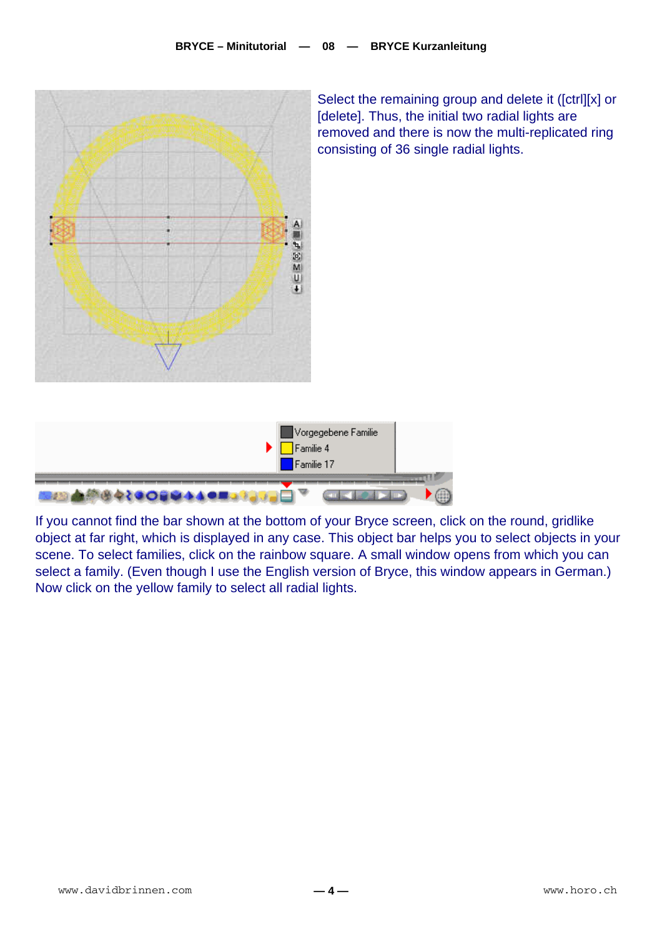

Select the remaining group and delete it ([ctrl][x] or [delete]. Thus, the initial two radial lights are removed and there is now the multi-replicated ring consisting of 36 single radial lights.



If you cannot find the bar shown at the bottom of your Bryce screen, click on the round, gridlike object at far right, which is displayed in any case. This object bar helps you to select objects in your scene. To select families, click on the rainbow square. A small window opens from which you can select a family. (Even though I use the English version of Bryce, this window appears in German.) Now click on the yellow family to select all radial lights.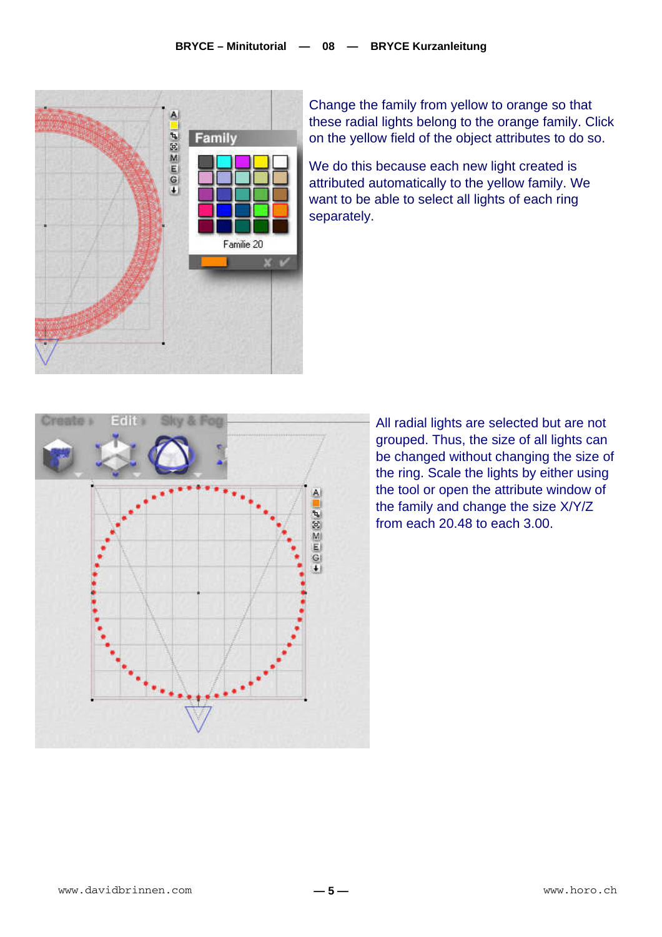

Change the family from yellow to orange so that these radial lights belong to the orange family. Click on the yellow field of the object attributes to do so.

We do this because each new light created is attributed automatically to the yellow family. We want to be able to select all lights of each ring separately.



All radial lights are selected but are not grouped. Thus, the size of all lights can be changed without changing the size of the ring. Scale the lights by either using the tool or open the attribute window of the family and change the size X/Y/Z from each 20.48 to each 3.00.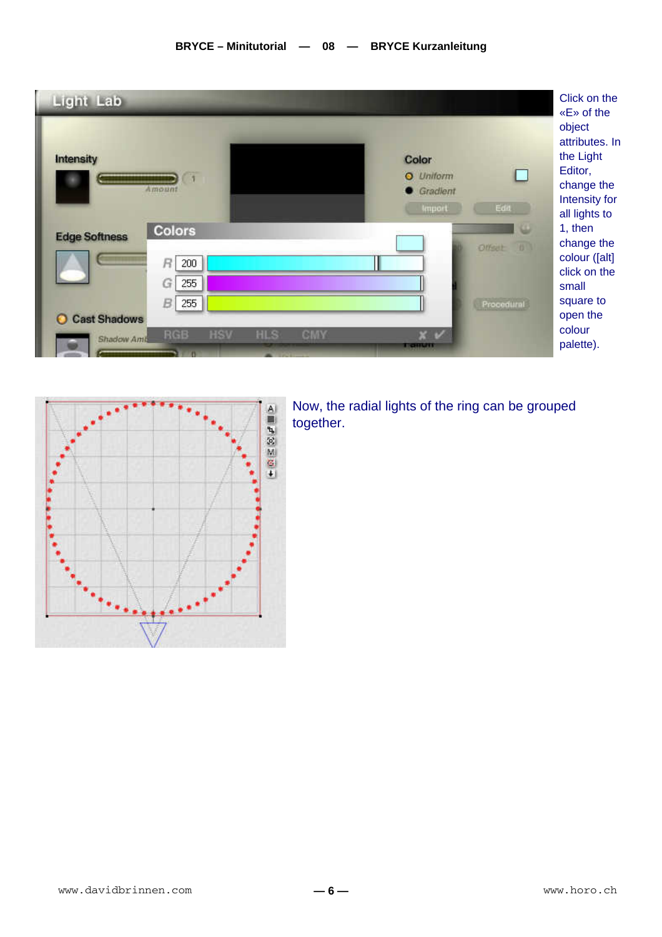



Now, the radial lights of the ring can be grouped together.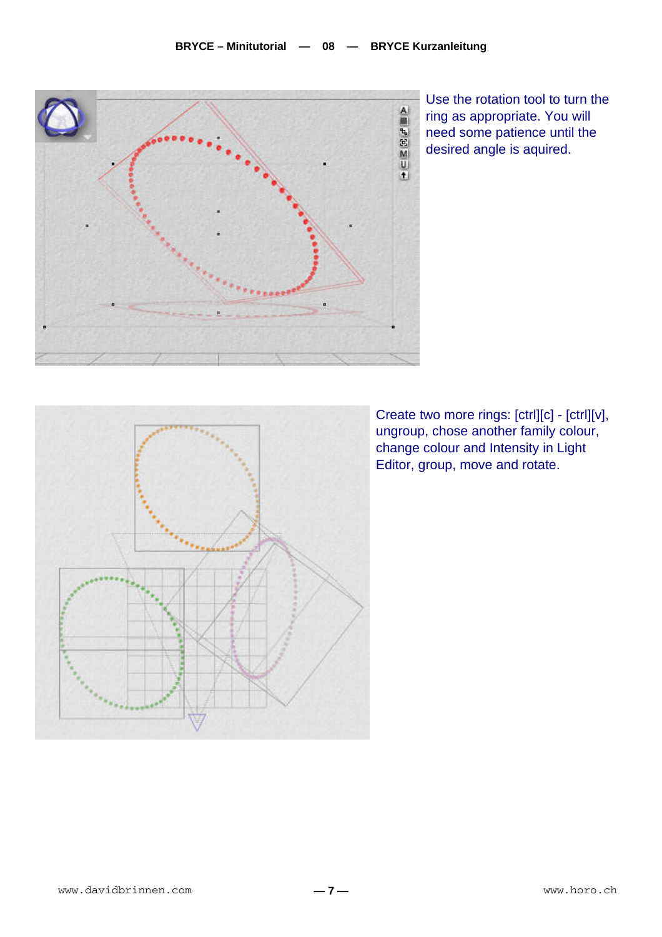

Use the rotation tool to turn the ring as appropriate. You will need some patience until the desired angle is aquired.



Create two more rings: [ctrl][c] - [ctrl][v], ungroup, chose another family colour, change colour and Intensity in Light Editor, group, move and rotate.